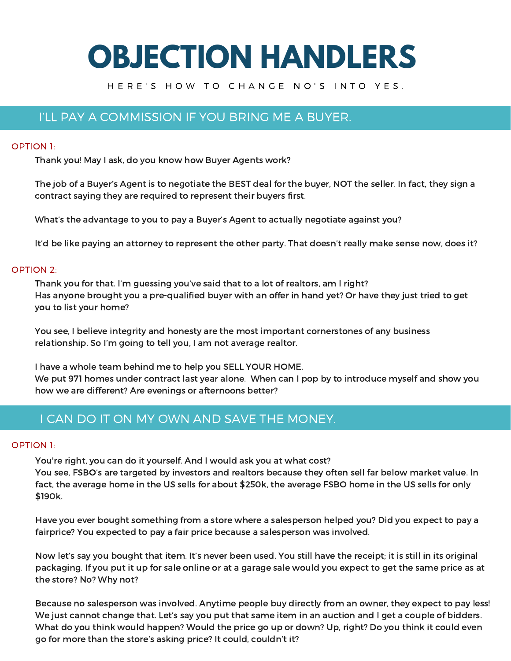# **OBJECTION HANDLERS**

## H E R E ' S H O W T O C H A N G E N O ' S I N T O Y E S .

## I'LL PAY A COMMISSION IF YOU BRING ME A BUYER.

## OPTION 1:

Thank you! May I ask, do you know how Buyer Agents work?

The job of a Buyer's Agent is to negotiate the BEST deal for the buyer, NOT the seller. In fact, they sign a contract saying they are required to represent their buyers first.

What's the advantage to you to pay a Buyer's Agent to actually negotiate against you?

It'd be like paying an attorney to represent the other party. That doesn't really make sense now, does it?

## OPTION 2:

Thank you for that. I'm guessing you've said that to a lot of realtors, am I right? Has anyone brought you a pre-qualified buyer with an offer in hand yet? Or have they just tried to get you to list your home?

You see, I believe integrity and honesty are the most important cornerstones of any business relationship. So I'm going to tell you, I am not average realtor.

I have a whole team behind me to help you SELL YOUR HOME. We put 971 homes under contract last year alone. When can I pop by to introduce myself and show you how we are different? Are evenings or afternoons better?

## I CAN DO IT ON MY OWN AND SAVE THE MONEY.

## OPTION 1:

You're right, you can do it yourself. And I would ask you at what cost?

You see, FSBO's are targeted by investors and realtors because they often sell far below market value. In fact, the average home in the US sells for about \$250k, the average FSBO home in the US sells for only \$190k.

Have you ever bought something from a store where a salesperson helped you? Did you expect to pay a fairprice? You expected to pay a fair price because a salesperson was involved.

Now let's say you bought that item. It's never been used. You still have the receipt; it is still in its original packaging. If you put it up for sale online or at a garage sale would you expect to get the same price as at the store? No? Why not?

Because no salesperson was involved. Anytime people buy directly from an owner, they expect to pay less! We just cannot change that. Let's say you put that same item in an auction and I get a couple of bidders. What do you think would happen? Would the price go up or down? Up, right? Do you think it could even go for more than the store's asking price? It could, couldn't it?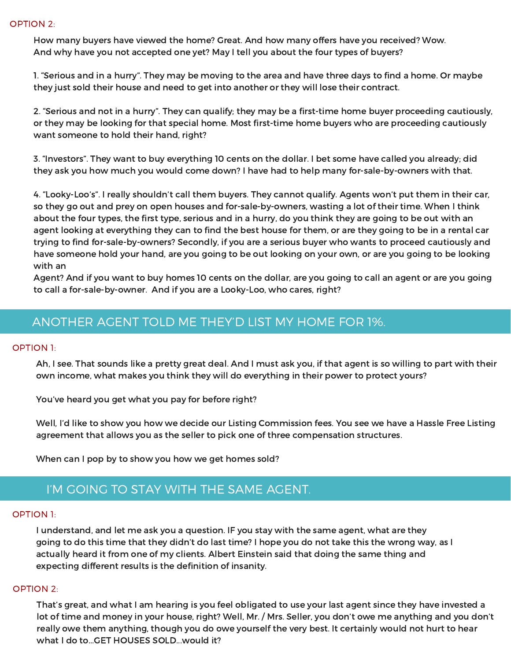How many buyers have viewed the home? Great. And how many offers have you received? Wow. And why have you not accepted one yet? May I tell you about the four types of buyers?

1. "Serious and in a hurry". They may be moving to the area and have three days to find a home. Or maybe they just sold their house and need to get into another or they will lose their contract.

2. "Serious and not in a hurry". They can qualify; they may be a first-time home buyer proceeding cautiously, or they may be looking for that special home. Most first-time home buyers who are proceeding cautiously want someone to hold their hand, right?

3. "Investors". They want to buy everything 10 cents on the dollar. I bet some have called you already; did they ask you how much you would come down? I have had to help many for-sale-by-owners with that.

4. "Looky-Loo's". I really shouldn't call them buyers. They cannot qualify. Agents won't put them in their car, so they go out and prey on open houses and for-sale-by-owners, wasting a lot of their time. When I think about the four types, the first type, serious and in a hurry, do you think they are going to be out with an agent looking at everything they can to find the best house for them, or are they going to be in a rental car trying to find for-sale-by-owners? Secondly, if you are a serious buyer who wants to proceed cautiously and have someone hold your hand, are you going to be out looking on your own, or are you going to be looking with an

Agent? And if you want to buy homes 10 cents on the dollar, are you going to call an agent or are you going to call a for-sale-by-owner. And if you are a Looky-Loo, who cares, right?

# ANOTHER AGENT TOLD ME THEY'D LIST MY HOME FOR 1%.

## OPTION 1:

Ah, I see. That sounds like a pretty great deal. And I must ask you, if that agent is so willing to part with their own income, what makes you think they will do everything in their power to protect yours?

You've heard you get what you pay for before right?

Well, I'd like to show you how we decide our Listing Commission fees. You see we have a Hassle Free Listing agreement that allows you as the seller to pick one of three compensation structures.

When can I pop by to show you how we get homes sold?

## I'M GOING TO STAY WITH THE SAME AGENT.

## OPTION 1:

I understand, and let me ask you a question. IF you stay with the same agent, what are they going to do this time that they didn't do last time? I hope you do not take this the wrong way, as I actually heard it from one of my clients. Albert Einstein said that doing the same thing and expecting different results is the definition of insanity.

## OPTION 2:

That's great, and what I am hearing is you feel obligated to use your last agent since they have invested a lot of time and money in your house, right? Well, Mr. / Mrs. Seller, you don't owe me anything and you don't really owe them anything, though you do owe yourself the very best. It certainly would not hurt to hear what I do to...GET HOUSES SOLD...would it?